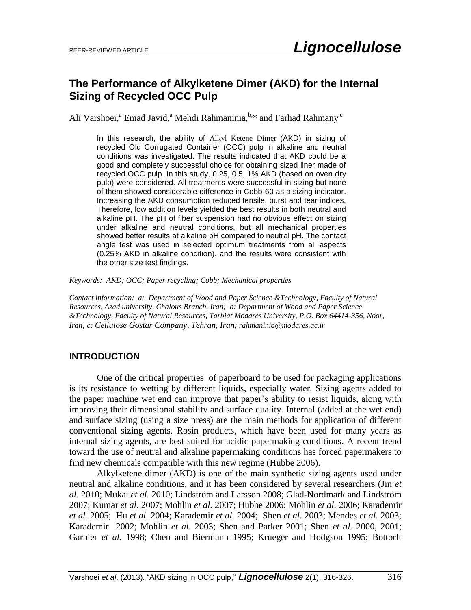# **The Performance of Alkylketene Dimer (AKD) for the Internal Sizing of Recycled OCC Pulp**

Ali Varshoei,<sup>a</sup> Emad Javid,<sup>a</sup> Mehdi Rahmaninia,<sup>b,\*</sup> and Farhad Rahmany<sup>c</sup>

In this research, the ability of Alkyl Ketene Dimer (AKD) in sizing of recycled Old Corrugated Container (OCC) pulp in alkaline and neutral conditions was investigated. The results indicated that AKD could be a good and completely successful choice for obtaining sized liner made of recycled OCC pulp. In this study, 0.25, 0.5, 1% AKD (based on oven dry pulp) were considered. All treatments were successful in sizing but none of them showed considerable difference in Cobb-60 as a sizing indicator. Increasing the AKD consumption reduced tensile, burst and tear indices. Therefore, low addition levels yielded the best results in both neutral and alkaline pH. The pH of fiber suspension had no obvious effect on sizing under alkaline and neutral conditions, but all mechanical properties showed better results at alkaline pH compared to neutral pH. The contact angle test was used in selected optimum treatments from all aspects (0.25% AKD in alkaline condition), and the results were consistent with the other size test findings.

*Keywords: AKD; OCC; Paper recycling; Cobb; Mechanical properties*

*Contact information: a: Department of Wood and Paper Science &Technology, Faculty of Natural Resources, Azad university, Chalous Branch, Iran; b: Department of Wood and Paper Science &Technology, Faculty of Natural Resources, Tarbiat Modares University, P.O. Box 64414-356, Noor, Iran; c: Cellulose Gostar Company, Tehran, Iran; [rahmaninia@modares.ac.ir](mailto:rahmaninia@modares.ac.ir)*

# **INTRODUCTION**

One of the critical properties of paperboard to be used for packaging applications is its resistance to wetting by different liquids, especially water. Sizing agents added to the paper machine wet end can improve that paper's ability to resist liquids, along with improving their dimensional stability and surface quality. Internal (added at the wet end) and surface sizing (using a size press) are the main methods for application of different conventional sizing agents. Rosin products, which have been used for many years as internal sizing agents, are best suited for acidic papermaking conditions. A recent trend toward the use of neutral and alkaline papermaking conditions has forced papermakers to find new chemicals compatible with this new regime (Hubbe 2006).

Alkylketene dimer (AKD) is one of the main synthetic sizing agents used under neutral and alkaline conditions, and it has been considered by several researchers (Jin *et al.* 2010; Mukai *et al.* 2010; Lindström and Larsson 2008; Glad-Nordmark and Lindström 2007; Kumar *et al.* 2007; Mohlin *et al.* 2007; Hubbe 2006; Mohlin *et al.* 2006; Karademir *et al.* 2005; Hu *et al.* 2004; Karademir *et al.* 2004; Shen *et al.* 2003; Mendes *et al.* 2003; Karademir 2002; Mohlin *et al.* 2003; Shen and Parker 2001; Shen *et al.* 2000, 2001; Garnier *et al.* 1998; Chen and Biermann 1995; Krueger and Hodgson 1995; Bottorft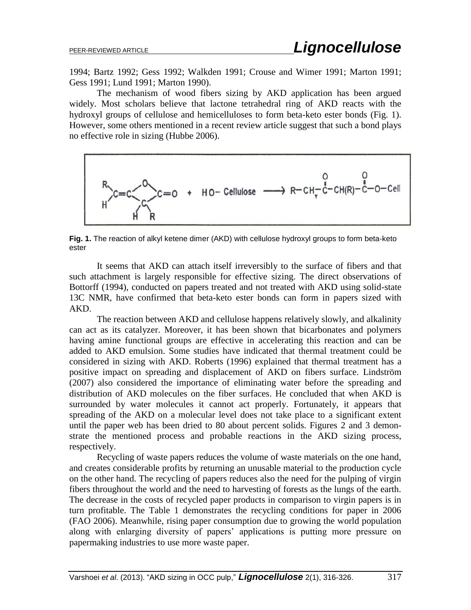1994; Bartz 1992; Gess 1992; Walkden 1991; Crouse and Wimer 1991; Marton 1991; Gess 1991; Lund 1991; Marton 1990).

The mechanism of wood fibers sizing by AKD application has been argued widely. Most scholars believe that lactone tetrahedral ring of AKD reacts with the hydroxyl groups of cellulose and hemicelluloses to form beta-keto ester bonds (Fig. 1). However, some others mentioned in a recent review article suggest that such a bond plays no effective role in sizing (Hubbe 2006).



**Fig. 1.** The reaction of alkyl ketene dimer (AKD) with cellulose hydroxyl groups to form beta-keto ester

It seems that AKD can attach itself irreversibly to the surface of fibers and that such attachment is largely responsible for effective sizing. The direct observations of Bottorff (1994), conducted on papers treated and not treated with AKD using solid-state 13C NMR, have confirmed that beta-keto ester bonds can form in papers sized with AKD.

The reaction between AKD and cellulose happens relatively slowly, and alkalinity can act as its catalyzer. Moreover, it has been shown that bicarbonates and polymers having amine functional groups are effective in accelerating this reaction and can be added to AKD emulsion. Some studies have indicated that thermal treatment could be considered in sizing with AKD. Roberts (1996) explained that thermal treatment has a positive impact on spreading and displacement of AKD on fibers surface. Lindström (2007) also considered the importance of eliminating water before the spreading and distribution of AKD molecules on the fiber surfaces. He concluded that when AKD is surrounded by water molecules it cannot act properly. Fortunately, it appears that spreading of the AKD on a molecular level does not take place to a significant extent until the paper web has been dried to 80 about percent solids. Figures 2 and 3 demonstrate the mentioned process and probable reactions in the AKD sizing process, respectively.

Recycling of waste papers reduces the volume of waste materials on the one hand, and creates considerable profits by returning an unusable material to the production cycle on the other hand. The recycling of papers reduces also the need for the pulping of virgin fibers throughout the world and the need to harvesting of forests as the lungs of the earth. The decrease in the costs of recycled paper products in comparison to virgin papers is in turn profitable. The Table 1 demonstrates the recycling conditions for paper in 2006 (FAO 2006). Meanwhile, rising paper consumption due to growing the world population along with enlarging diversity of papers' applications is putting more pressure on papermaking industries to use more waste paper.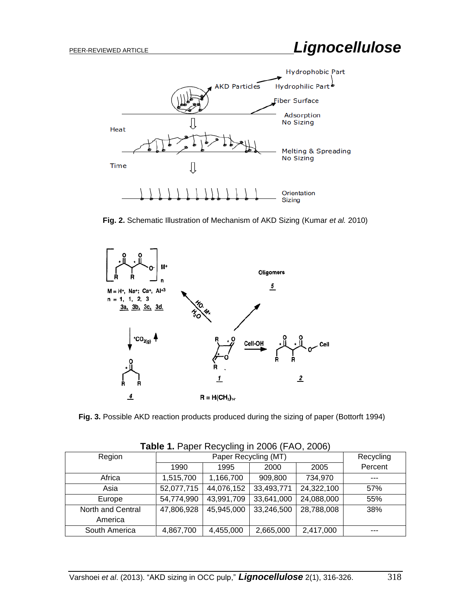



**Fig. 2.** Schematic Illustration of Mechanism of AKD Sizing (Kumar *et al.* 2010)



**Fig. 3.** Possible AKD reaction products produced during the sizing of paper (Bottorft 1994)

| $1.4819$ 11 $1.4901$ 1.00 $1.001$ 1.1 $4.0000$ 1.1 $1.001$ 2.000 1. |            |                      |            |            |         |  |
|---------------------------------------------------------------------|------------|----------------------|------------|------------|---------|--|
| Region                                                              |            | Paper Recycling (MT) |            |            |         |  |
|                                                                     | 1990       | 1995                 | 2000       | 2005       | Percent |  |
| Africa                                                              | 1,515,700  | 1,166,700            | 909,800    | 734,970    | ---     |  |
| Asia                                                                | 52,077,715 | 44,076,152           | 33,493,771 | 24,322,100 | 57%     |  |
| Europe                                                              | 54,774,990 | 43,991,709           | 33,641,000 | 24,088,000 | 55%     |  |
| North and Central                                                   | 47,806,928 | 45,945,000           | 33,246,500 | 28,788,008 | 38%     |  |
| America                                                             |            |                      |            |            |         |  |
| South America                                                       | 4,867,700  | 4,455,000            | 2,665,000  | 2,417,000  | ---     |  |

**Table 1.** Paper Recycling in 2006 (FAO, 2006)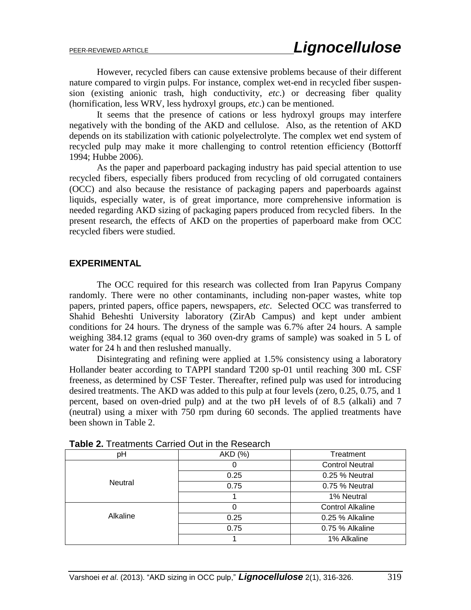However, recycled fibers can cause extensive problems because of their different nature compared to virgin pulps. For instance, complex wet-end in recycled fiber suspension (existing anionic trash, high conductivity, *etc*.) or decreasing fiber quality (hornification, less WRV, less hydroxyl groups, *etc*.) can be mentioned.

It seems that the presence of cations or less hydroxyl groups may interfere negatively with the bonding of the AKD and cellulose. Also, as the retention of AKD depends on its stabilization with cationic polyelectrolyte. The complex wet end system of recycled pulp may make it more challenging to control retention efficiency (Bottorff 1994; Hubbe 2006).

As the paper and paperboard packaging industry has paid special attention to use recycled fibers, especially fibers produced from recycling of old corrugated containers (OCC) and also because the resistance of packaging papers and paperboards against liquids, especially water, is of great importance, more comprehensive information is needed regarding AKD sizing of packaging papers produced from recycled fibers. In the present research, the effects of AKD on the properties of paperboard make from OCC recycled fibers were studied.

#### **EXPERIMENTAL**

The OCC required for this research was collected from Iran Papyrus Company randomly. There were no other contaminants, including non-paper wastes, white top papers, printed papers, office papers, newspapers, *etc*. Selected OCC was transferred to Shahid Beheshti University laboratory (ZirAb Campus) and kept under ambient conditions for 24 hours. The dryness of the sample was 6.7% after 24 hours. A sample weighing 384.12 grams (equal to 360 oven-dry grams of sample) was soaked in 5 L of water for 24 h and then reslushed manually.

Disintegrating and refining were applied at 1.5% consistency using a laboratory Hollander beater according to TAPPI standard T200 sp-01 until reaching 300 mL CSF freeness, as determined by CSF Tester. Thereafter, refined pulp was used for introducing desired treatments. The AKD was added to this pulp at four levels (zero, 0.25, 0.75, and 1 percent, based on oven-dried pulp) and at the two pH levels of of 8.5 (alkali) and 7 (neutral) using a mixer with 750 rpm during 60 seconds. The applied treatments have been shown in Table 2.

| рH       | AKD (%) | Treatment               |  |  |
|----------|---------|-------------------------|--|--|
|          | 0       | <b>Control Neutral</b>  |  |  |
|          | 0.25    | 0.25 % Neutral          |  |  |
| Neutral  | 0.75    | 0.75 % Neutral          |  |  |
|          |         | 1% Neutral              |  |  |
|          | 0       | <b>Control Alkaline</b> |  |  |
| Alkaline | 0.25    | 0.25 % Alkaline         |  |  |
|          | 0.75    | 0.75 % Alkaline         |  |  |
|          |         | 1% Alkaline             |  |  |

| <b>Table 2.</b> Treatments Carried Out in the Research |  |  |  |  |
|--------------------------------------------------------|--|--|--|--|
|--------------------------------------------------------|--|--|--|--|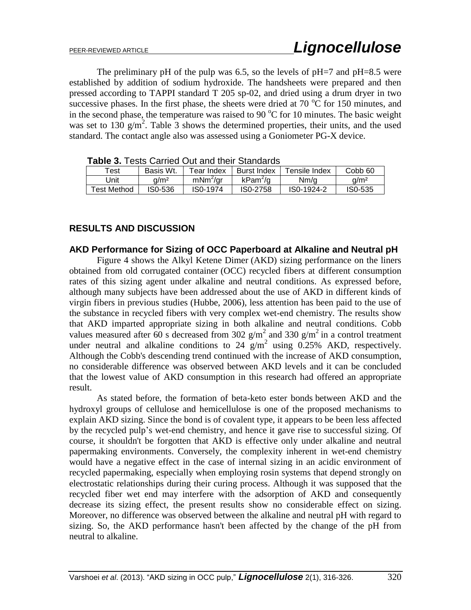The preliminary pH of the pulp was 6.5, so the levels of  $pH=7$  and  $pH=8.5$  were established by addition of sodium hydroxide. The handsheets were prepared and then pressed according to TAPPI standard T 205 sp-02, and dried using a drum dryer in two successive phases. In the first phase, the sheets were dried at 70  $\degree$ C for 150 minutes, and in the second phase, the temperature was raised to 90  $^{\circ}$ C for 10 minutes. The basic weight was set to 130  $g/m^2$ . Table 3 shows the determined properties, their units, and the used standard. The contact angle also was assessed using a Goniometer PG-X device.

| <b>Taple of T</b> oold OdiTiou Out and their Oldhuarud |                  |                      |                      |               |                    |
|--------------------------------------------------------|------------------|----------------------|----------------------|---------------|--------------------|
| Test                                                   | Basis Wt.        | Tear Index           | Burst Index          | Tensile Index | Cobb <sub>60</sub> |
| Jnit                                                   | a/m <sup>2</sup> | mNm <sup>2</sup> /gr | kPam <sup>2</sup> /g | Nm/a          | a/m <sup>2</sup>   |
| Test Method                                            | IS0-536          | IS0-1974             | IS0-2758             | IS0-1924-2    | IS0-535            |

 **Table 3.** Tests Carried Out and their Standards

### **RESULTS AND DISCUSSION**

# **AKD Performance for Sizing of OCC Paperboard at Alkaline and Neutral pH**

Figure 4 shows the Alkyl Ketene Dimer (AKD) sizing performance on the liners obtained from old corrugated container (OCC) recycled fibers at different consumption rates of this sizing agent under alkaline and neutral conditions. As expressed before, although many subjects have been addressed about the use of AKD in different kinds of virgin fibers in previous studies (Hubbe, 2006), less attention has been paid to the use of the substance in recycled fibers with very complex wet-end chemistry. The results show that AKD imparted appropriate sizing in both alkaline and neutral conditions. Cobb values measured after 60 s decreased from 302  $g/m^2$  and 330  $g/m^2$  in a control treatment under neutral and alkaline conditions to 24  $g/m^2$  using 0.25% AKD, respectively. Although the Cobb's descending trend continued with the increase of AKD consumption, no considerable difference was observed between AKD levels and it can be concluded that the lowest value of AKD consumption in this research had offered an appropriate result.

As stated before, the formation of beta-keto ester bonds between AKD and the hydroxyl groups of cellulose and hemicellulose is one of the proposed mechanisms to explain AKD sizing. Since the bond is of covalent type, it appears to be been less affected by the recycled pulp's wet-end chemistry, and hence it gave rise to successful sizing. Of course, it shouldn't be forgotten that AKD is effective only under alkaline and neutral papermaking environments. Conversely, the complexity inherent in wet-end chemistry would have a negative effect in the case of internal sizing in an acidic environment of recycled papermaking, especially when employing rosin systems that depend strongly on electrostatic relationships during their curing process. Although it was supposed that the recycled fiber wet end may interfere with the adsorption of AKD and consequently decrease its sizing effect, the present results show no considerable effect on sizing. Moreover, no difference was observed between the alkaline and neutral pH with regard to sizing. So, the AKD performance hasn't been affected by the change of the pH from neutral to alkaline.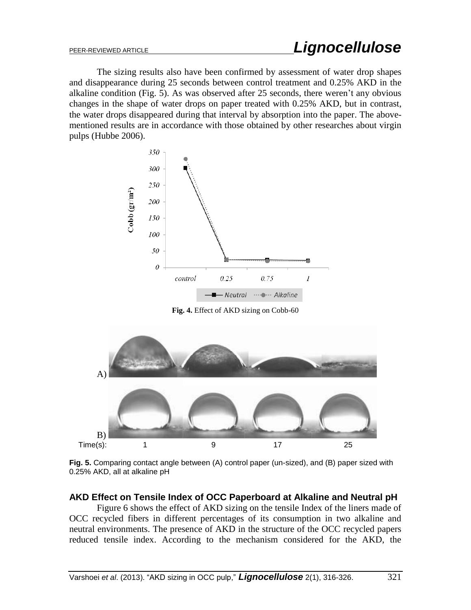The sizing results also have been confirmed by assessment of water drop shapes and disappearance during 25 seconds between control treatment and 0.25% AKD in the alkaline condition (Fig. 5). As was observed after 25 seconds, there weren't any obvious changes in the shape of water drops on paper treated with 0.25% AKD, but in contrast, the water drops disappeared during that interval by absorption into the paper. The abovementioned results are in accordance with those obtained by other researches about virgin pulps (Hubbe 2006).



**Fig. 4.** Effect of AKD sizing on Cobb-60



**Fig. 5.** Comparing contact angle between (A) control paper (un-sized), and (B) paper sized with 0.25% AKD, all at alkaline pH

# **AKD Effect on Tensile Index of OCC Paperboard at Alkaline and Neutral pH**

Figure 6 shows the effect of AKD sizing on the tensile Index of the liners made of OCC recycled fibers in different percentages of its consumption in two alkaline and neutral environments. The presence of AKD in the structure of the OCC recycled papers reduced tensile index. According to the mechanism considered for the AKD, the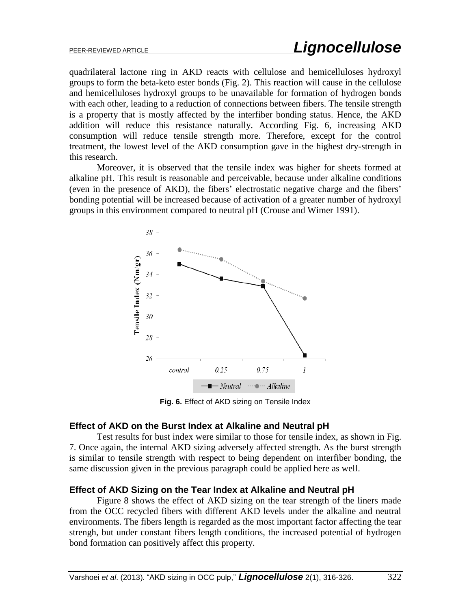quadrilateral lactone ring in AKD reacts with cellulose and hemicelluloses hydroxyl groups to form the beta-keto ester bonds (Fig. 2). This reaction will cause in the cellulose and hemicelluloses hydroxyl groups to be unavailable for formation of hydrogen bonds with each other, leading to a reduction of connections between fibers. The tensile strength is a property that is mostly affected by the interfiber bonding status. Hence, the AKD addition will reduce this resistance naturally. According Fig. 6, increasing AKD consumption will reduce tensile strength more. Therefore, except for the control treatment, the lowest level of the AKD consumption gave in the highest dry-strength in this research.

Moreover, it is observed that the tensile index was higher for sheets formed at alkaline pH. This result is reasonable and perceivable, because under alkaline conditions (even in the presence of AKD), the fibers' electrostatic negative charge and the fibers' bonding potential will be increased because of activation of a greater number of hydroxyl groups in this environment compared to neutral pH (Crouse and Wimer 1991).



**Fig. 6.** Effect of AKD sizing on Tensile Index

#### **Effect of AKD on the Burst Index at Alkaline and Neutral pH**

Test results for bust index were similar to those for tensile index, as shown in Fig. 7. Once again, the internal AKD sizing adversely affected strength. As the burst strength is similar to tensile strength with respect to being dependent on interfiber bonding, the same discussion given in the previous paragraph could be applied here as well.

#### **Effect of AKD Sizing on the Tear Index at Alkaline and Neutral pH**

Figure 8 shows the effect of AKD sizing on the tear strength of the liners made from the OCC recycled fibers with different AKD levels under the alkaline and neutral environments. The fibers length is regarded as the most important factor affecting the tear strengh, but under constant fibers length conditions, the increased potential of hydrogen bond formation can positively affect this property.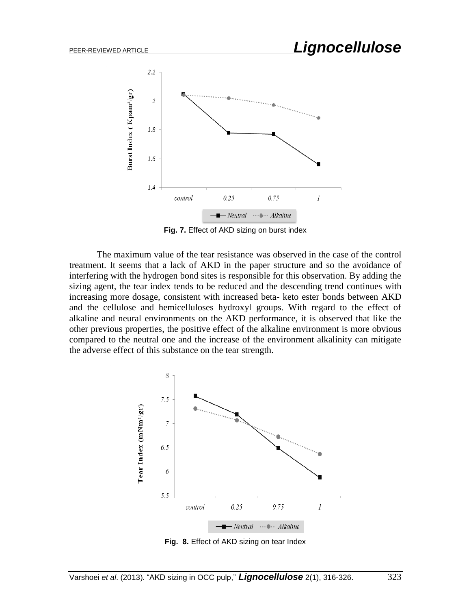

**Fig. 7.** Effect of AKD sizing on burst index

The maximum value of the tear resistance was observed in the case of the control treatment. It seems that a lack of AKD in the paper structure and so the avoidance of interfering with the hydrogen bond sites is responsible for this observation. By adding the sizing agent, the tear index tends to be reduced and the descending trend continues with increasing more dosage, consistent with increased beta- keto ester bonds between AKD and the cellulose and hemicelluloses hydroxyl groups. With regard to the effect of alkaline and neural environments on the AKD performance, it is observed that like the other previous properties, the positive effect of the alkaline environment is more obvious compared to the neutral one and the increase of the environment alkalinity can mitigate the adverse effect of this substance on the tear strength.



**Fig. 8.** Effect of AKD sizing on tear Index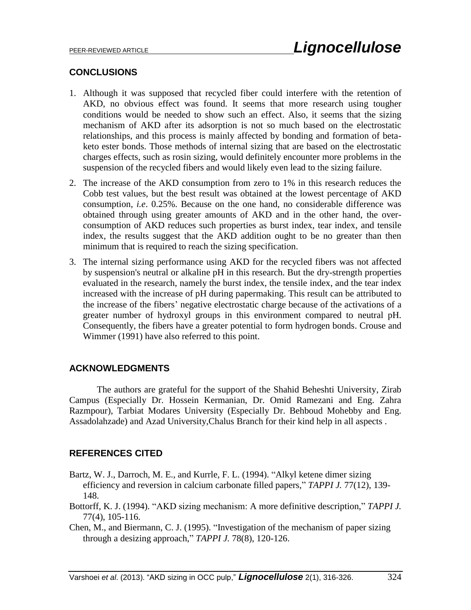#### **CONCLUSIONS**

- 1. Although it was supposed that recycled fiber could interfere with the retention of AKD, no obvious effect was found. It seems that more research using tougher conditions would be needed to show such an effect. Also, it seems that the sizing mechanism of AKD after its adsorption is not so much based on the electrostatic relationships, and this process is mainly affected by bonding and formation of betaketo ester bonds. Those methods of internal sizing that are based on the electrostatic charges effects, such as rosin sizing, would definitely encounter more problems in the suspension of the recycled fibers and would likely even lead to the sizing failure.
- 2. The increase of the AKD consumption from zero to 1% in this research reduces the Cobb test values, but the best result was obtained at the lowest percentage of AKD consumption, *i.e*. 0.25%. Because on the one hand, no considerable difference was obtained through using greater amounts of AKD and in the other hand, the overconsumption of AKD reduces such properties as burst index, tear index, and tensile index, the results suggest that the AKD addition ought to be no greater than then minimum that is required to reach the sizing specification.
- 3. The internal sizing performance using AKD for the recycled fibers was not affected by suspension's neutral or alkaline pH in this research. But the dry-strength properties evaluated in the research, namely the burst index, the tensile index, and the tear index increased with the increase of pH during papermaking. This result can be attributed to the increase of the fibers' negative electrostatic charge because of the activations of a greater number of hydroxyl groups in this environment compared to neutral pH. Consequently, the fibers have a greater potential to form hydrogen bonds. Crouse and Wimmer (1991) have also referred to this point.

# **ACKNOWLEDGMENTS**

The authors are grateful for the support of the Shahid Beheshti University, Zirab Campus (Especially Dr. Hossein Kermanian, Dr. Omid Ramezani and Eng. Zahra Razmpour), Tarbiat Modares University (Especially Dr. Behboud Mohebby and Eng. Assadolahzade) and Azad University,Chalus Branch for their kind help in all aspects .

# **REFERENCES CITED**

- Bartz, W. J., Darroch, M. E., and Kurrle, F. L. (1994). "Alkyl ketene dimer sizing efficiency and reversion in calcium carbonate filled papers," *TAPPI J.* 77(12), 139- 148.
- Bottorff, K. J. (1994). "AKD sizing mechanism: A more definitive description," *TAPPI J.* 77(4), 105-116.
- Chen, M., and Biermann, C. J. (1995). "Investigation of the mechanism of paper sizing through a desizing approach," *TAPPI J.* 78(8), 120-126.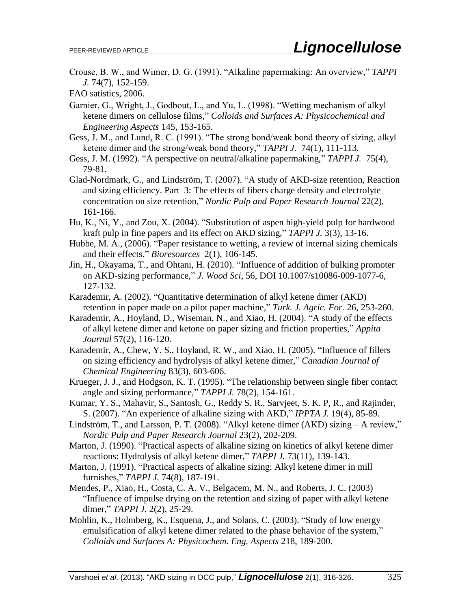Crouse, B. W., and Wimer, D. G. (1991). "Alkaline papermaking: An overview," *TAPPI J.* 74(7), 152-159.

FAO satistics, 2006.

- Garnier, G., Wright, J., Godbout, L., and Yu, L. (1998). "Wetting mechanism of alkyl ketene dimers on cellulose films," *Colloids and Surfaces A: Physicochemical and Engineering Aspects* 145, 153-165.
- Gess, J. M., and Lund, R. C. (1991). "The strong bond/weak bond theory of sizing, alkyl ketene dimer and the strong/weak bond theory," *TAPPI J.* 74(1), 111-113.
- Gess, J. M. (1992). "A perspective on neutral/alkaline papermaking," *TAPPI J.* 75(4), 79-81.
- Glad-Nordmark, G., and Lindström, T. (2007). "A study of AKD-size retention, Reaction and sizing efficiency. Part 3: The effects of fibers charge density and electrolyte concentration on size retention," *Nordic Pulp and Paper Research Journal* 22(2), 161-166.
- Hu, K., Ni, Y., and Zou, X. (2004). "Substitution of aspen high-yield pulp for hardwood kraft pulp in fine papers and its effect on AKD sizing," *TAPPI J.* 3(3), 13-16.
- Hubbe, M. A., (2006). "Paper resistance to wetting, a review of internal sizing chemicals and their effects," *Bioresources* 2(1), 106-145.
- Jin, H., Okayama, T., and Ohtani, H. (2010). "Influence of addition of bulking promoter on AKD-sizing performance," *J. Wood Sci*, 56, DOI 10.1007/s10086-009-1077-6, 127-132.
- Karademir, A. (2002). "Quantitative determination of alkyl ketene dimer (AKD) retention in paper made on a pilot paper machine," *Turk. J. Agric. For.* 26, 253-260.
- Karademir, A., Hoyland, D., Wiseman, N., and Xiao, H. (2004). "A study of the effects of alkyl ketene dimer and ketone on paper sizing and friction properties," *Appita Journal* 57(2), 116-120.
- Karademir, A., Chew, Y. S., Hoyland, R. W., and Xiao, H. (2005). "Influence of fillers on sizing efficiency and hydrolysis of alkyl ketene dimer," *Canadian Journal of Chemical Engineering* 83(3), 603-606.
- Krueger, J. J., and Hodgson, K. T. (1995). "The relationship between single fiber contact angle and sizing performance," *TAPPI J.* 78(2), 154-161.
- Kumar, Y. S., Mahavir, S., Santosh, G., Reddy S. R., Sarvjeet, S. K. P, R., and Rajinder, S. (2007). "An experience of alkaline sizing with AKD," *IPPTA J.* 19(4), 85-89.
- Lindström, T., and Larsson, P. T. (2008). "Alkyl ketene dimer (AKD) sizing A review," *Nordic Pulp and Paper Research Journal* 23(2), 202-209.
- Marton, J. (1990). "Practical aspects of alkaline sizing on kinetics of alkyl ketene dimer reactions: Hydrolysis of alkyl ketene dimer," *TAPPI J.* 73(11), 139-143.
- Marton, J. (1991). "Practical aspects of alkaline sizing: Alkyl ketene dimer in mill furnishes," *TAPPI J.* 74(8), 187-191.
- Mendes, P., Xiao, H., Costa, C. A. V., Belgacem, M. N., and Roberts, J. C. (2003) "Influence of impulse drying on the retention and sizing of paper with alkyl ketene dimer," *TAPPI J.* 2(2), 25-29.
- Mohlin, K., Holmberg, K., Esquena, J., and Solans, C. (2003). "Study of low energy emulsification of alkyl ketene dimer related to the phase behavior of the system," *Colloids and Surfaces A: Physicochem. Eng. Aspects* 218, 189-200.